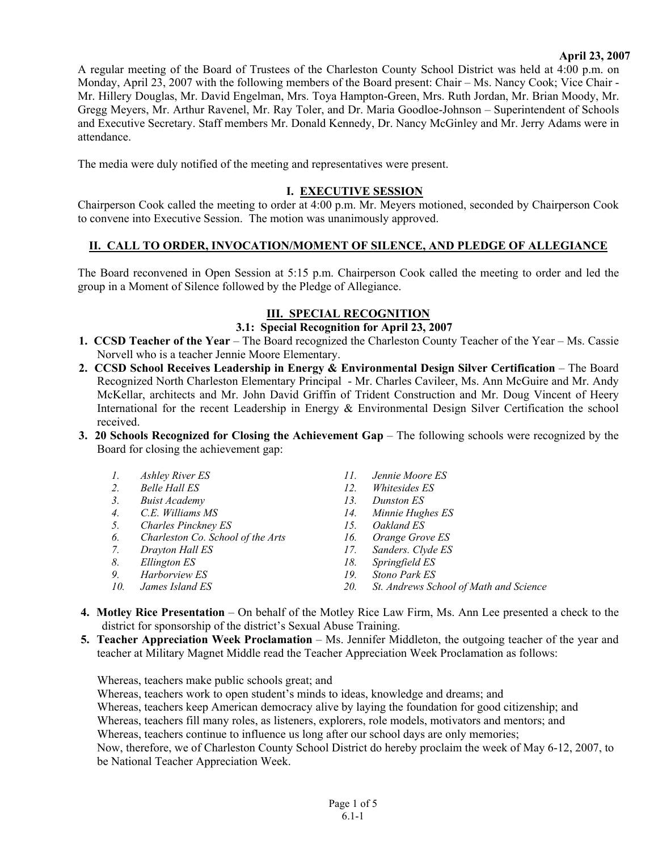### **April 23, 2007**

A regular meeting of the Board of Trustees of the Charleston County School District was held at 4:00 p.m. on Monday, April 23, 2007 with the following members of the Board present: Chair – Ms. Nancy Cook; Vice Chair - Mr. Hillery Douglas, Mr. David Engelman, Mrs. Toya Hampton-Green, Mrs. Ruth Jordan, Mr. Brian Moody, Mr. Gregg Meyers, Mr. Arthur Ravenel, Mr. Ray Toler, and Dr. Maria Goodloe-Johnson – Superintendent of Schools and Executive Secretary. Staff members Mr. Donald Kennedy, Dr. Nancy McGinley and Mr. Jerry Adams were in attendance.

The media were duly notified of the meeting and representatives were present.

# **I. EXECUTIVE SESSION**

Chairperson Cook called the meeting to order at 4:00 p.m. Mr. Meyers motioned, seconded by Chairperson Cook to convene into Executive Session. The motion was unanimously approved.

## **II. CALL TO ORDER, INVOCATION/MOMENT OF SILENCE, AND PLEDGE OF ALLEGIANCE**

The Board reconvened in Open Session at 5:15 p.m. Chairperson Cook called the meeting to order and led the group in a Moment of Silence followed by the Pledge of Allegiance.

## **III. SPECIAL RECOGNITION**

### **3.1: Special Recognition for April 23, 2007**

- **1. CCSD Teacher of the Year** The Board recognized the Charleston County Teacher of the Year Ms. Cassie Norvell who is a teacher Jennie Moore Elementary.
- **2. CCSD School Receives Leadership in Energy & Environmental Design Silver Certification** The Board Recognized North Charleston Elementary Principal - Mr. Charles Cavileer, Ms. Ann McGuire and Mr. Andy McKellar, architects and Mr. John David Griffin of Trident Construction and Mr. Doug Vincent of Heery International for the recent Leadership in Energy & Environmental Design Silver Certification the school received.
- **3. 20 Schools Recognized for Closing the Achievement Gap** The following schools were recognized by the Board for closing the achievement gap:
	- *1. Ashley River ES*
	- *2. Belle Hall ES*
	- *3. Buist Academy*
	- *4. C.E. Williams MS*
	- *5. Charles Pinckney ES*
	- *6. Charleston Co. School of the Arts*
	- *7. Drayton Hall ES*
	- *8. Ellington ES*
	- *9. Harborview ES*
	- *10. James Island ES*
- *11. Jennie Moore ES*
- *12. Whitesides ES*
- *13. Dunston ES*
- *14. Minnie Hughes ES*
- *15. Oakland ES*
- *16. Orange Grove ES*
- *17. Sanders. Clyde ES*
- *18. Springfield ES*
- *19. Stono Park ES*
- *20. St. Andrews School of Math and Science*
- **4. Motley Rice Presentation** On behalf of the Motley Rice Law Firm, Ms. Ann Lee presented a check to the district for sponsorship of the district's Sexual Abuse Training.
- **5. Teacher Appreciation Week Proclamation** Ms. Jennifer Middleton, the outgoing teacher of the year and teacher at Military Magnet Middle read the Teacher Appreciation Week Proclamation as follows:

Whereas, teachers make public schools great; and

Whereas, teachers work to open student's minds to ideas, knowledge and dreams; and Whereas, teachers keep American democracy alive by laying the foundation for good citizenship; and Whereas, teachers fill many roles, as listeners, explorers, role models, motivators and mentors; and Whereas, teachers continue to influence us long after our school days are only memories; Now, therefore, we of Charleston County School District do hereby proclaim the week of May 6-12, 2007, to be National Teacher Appreciation Week.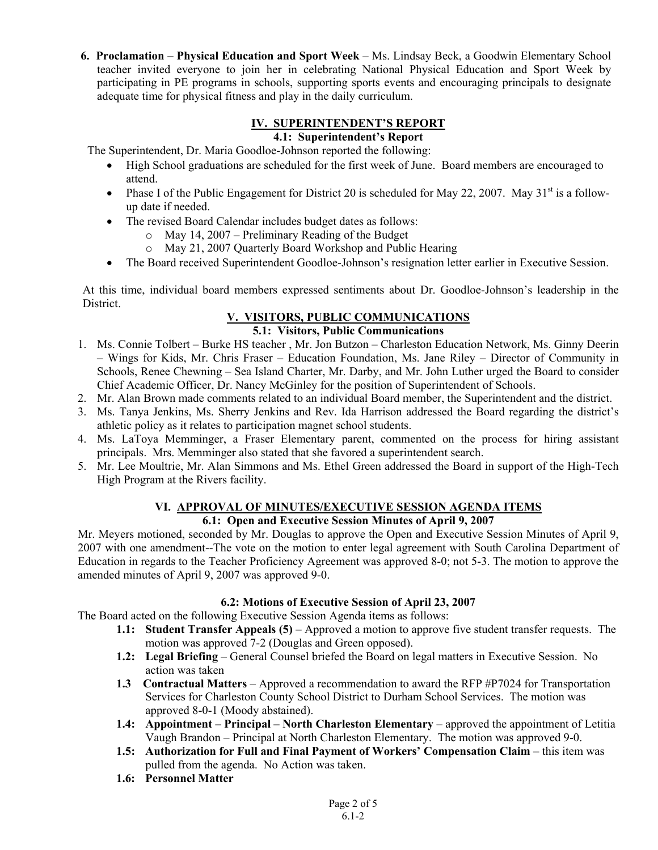**6. Proclamation – Physical Education and Sport Week** – Ms. Lindsay Beck, a Goodwin Elementary School teacher invited everyone to join her in celebrating National Physical Education and Sport Week by participating in PE programs in schools, supporting sports events and encouraging principals to designate adequate time for physical fitness and play in the daily curriculum.

#### **IV. SUPERINTENDENT'S REPORT 4.1: Superintendent's Report**

The Superintendent, Dr. Maria Goodloe-Johnson reported the following:

- High School graduations are scheduled for the first week of June. Board members are encouraged to attend.
- Phase I of the Public Engagement for District 20 is scheduled for May 22, 2007. May  $31<sup>st</sup>$  is a followup date if needed.
- The revised Board Calendar includes budget dates as follows:
	- o May 14, 2007 Preliminary Reading of the Budget
	- o May 21, 2007 Quarterly Board Workshop and Public Hearing
- The Board received Superintendent Goodloe-Johnson's resignation letter earlier in Executive Session.

At this time, individual board members expressed sentiments about Dr. Goodloe-Johnson's leadership in the District.

# **V. VISITORS, PUBLIC COMMUNICATIONS**

# **5.1: Visitors, Public Communications**

- 1. Ms. Connie Tolbert Burke HS teacher , Mr. Jon Butzon Charleston Education Network, Ms. Ginny Deerin – Wings for Kids, Mr. Chris Fraser – Education Foundation, Ms. Jane Riley – Director of Community in Schools, Renee Chewning – Sea Island Charter, Mr. Darby, and Mr. John Luther urged the Board to consider Chief Academic Officer, Dr. Nancy McGinley for the position of Superintendent of Schools.
- 2. Mr. Alan Brown made comments related to an individual Board member, the Superintendent and the district.
- 3. Ms. Tanya Jenkins, Ms. Sherry Jenkins and Rev. Ida Harrison addressed the Board regarding the district's athletic policy as it relates to participation magnet school students.
- 4. Ms. LaToya Memminger, a Fraser Elementary parent, commented on the process for hiring assistant principals. Mrs. Memminger also stated that she favored a superintendent search.
- 5. Mr. Lee Moultrie, Mr. Alan Simmons and Ms. Ethel Green addressed the Board in support of the High-Tech High Program at the Rivers facility.

#### **VI. APPROVAL OF MINUTES/EXECUTIVE SESSION AGENDA ITEMS 6.1: Open and Executive Session Minutes of April 9, 2007**

Mr. Meyers motioned, seconded by Mr. Douglas to approve the Open and Executive Session Minutes of April 9, 2007 with one amendment--The vote on the motion to enter legal agreement with South Carolina Department of Education in regards to the Teacher Proficiency Agreement was approved 8-0; not 5-3. The motion to approve the amended minutes of April 9, 2007 was approved 9-0.

# **6.2: Motions of Executive Session of April 23, 2007**

The Board acted on the following Executive Session Agenda items as follows:

- **1.1: Student Transfer Appeals (5)** Approved a motion to approve five student transfer requests. The motion was approved 7-2 (Douglas and Green opposed).
- **1.2: Legal Briefing** General Counsel briefed the Board on legal matters in Executive Session. No action was taken
- **1.3 Contractual Matters** Approved a recommendation to award the RFP #P7024 for Transportation Services for Charleston County School District to Durham School Services. The motion was approved 8-0-1 (Moody abstained).
- **1.4: Appointment Principal North Charleston Elementary** approved the appointment of Letitia Vaugh Brandon – Principal at North Charleston Elementary. The motion was approved 9-0.
- **1.5: Authorization for Full and Final Payment of Workers' Compensation Claim** this item was pulled from the agenda. No Action was taken.
- **1.6: Personnel Matter**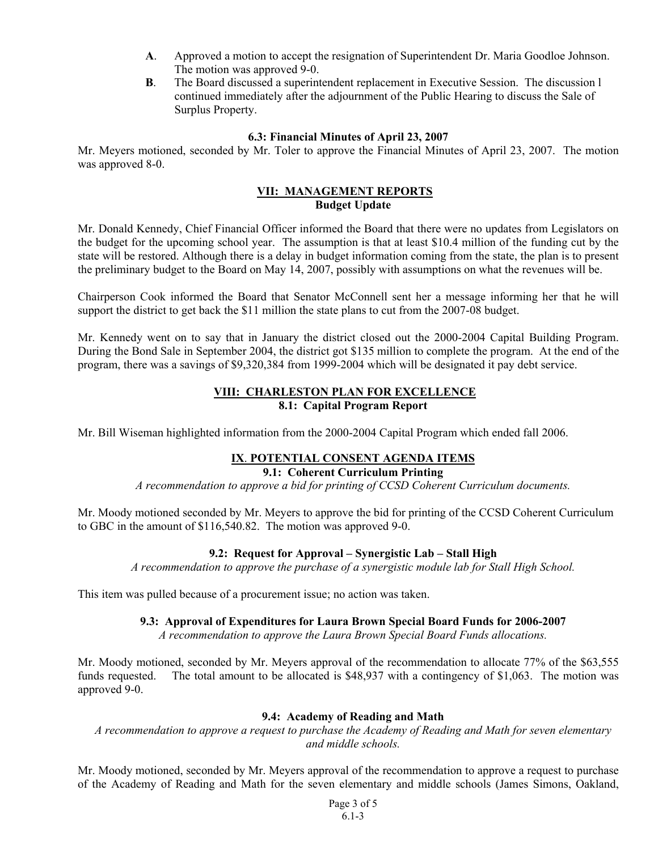- **A**. Approved a motion to accept the resignation of Superintendent Dr. Maria Goodloe Johnson. The motion was approved 9-0.
- **B**. The Board discussed a superintendent replacement in Executive Session. The discussion l continued immediately after the adjournment of the Public Hearing to discuss the Sale of Surplus Property.

#### **6.3: Financial Minutes of April 23, 2007**

Mr. Meyers motioned, seconded by Mr. Toler to approve the Financial Minutes of April 23, 2007. The motion was approved 8-0.

#### **VII: MANAGEMENT REPORTS Budget Update**

Mr. Donald Kennedy, Chief Financial Officer informed the Board that there were no updates from Legislators on the budget for the upcoming school year. The assumption is that at least \$10.4 million of the funding cut by the state will be restored. Although there is a delay in budget information coming from the state, the plan is to present the preliminary budget to the Board on May 14, 2007, possibly with assumptions on what the revenues will be.

Chairperson Cook informed the Board that Senator McConnell sent her a message informing her that he will support the district to get back the \$11 million the state plans to cut from the 2007-08 budget.

Mr. Kennedy went on to say that in January the district closed out the 2000-2004 Capital Building Program. During the Bond Sale in September 2004, the district got \$135 million to complete the program. At the end of the program, there was a savings of \$9,320,384 from 1999-2004 which will be designated it pay debt service.

### **VIII: CHARLESTON PLAN FOR EXCELLENCE 8.1: Capital Program Report**

Mr. Bill Wiseman highlighted information from the 2000-2004 Capital Program which ended fall 2006.

### **IX**. **POTENTIAL CONSENT AGENDA ITEMS**

## **9.1: Coherent Curriculum Printing**

*A recommendation to approve a bid for printing of CCSD Coherent Curriculum documents.* 

Mr. Moody motioned seconded by Mr. Meyers to approve the bid for printing of the CCSD Coherent Curriculum to GBC in the amount of \$116,540.82. The motion was approved 9-0.

### **9.2: Request for Approval – Synergistic Lab – Stall High**

*A recommendation to approve the purchase of a synergistic module lab for Stall High School.* 

This item was pulled because of a procurement issue; no action was taken.

#### **9.3: Approval of Expenditures for Laura Brown Special Board Funds for 2006-2007**

*A recommendation to approve the Laura Brown Special Board Funds allocations.* 

Mr. Moody motioned, seconded by Mr. Meyers approval of the recommendation to allocate 77% of the \$63,555 funds requested. The total amount to be allocated is \$48,937 with a contingency of \$1,063. The motion was approved 9-0.

### **9.4: Academy of Reading and Math**

*A recommendation to approve a request to purchase the Academy of Reading and Math for seven elementary and middle schools.* 

Mr. Moody motioned, seconded by Mr. Meyers approval of the recommendation to approve a request to purchase of the Academy of Reading and Math for the seven elementary and middle schools (James Simons, Oakland,

> Page 3 of 5 6.1-3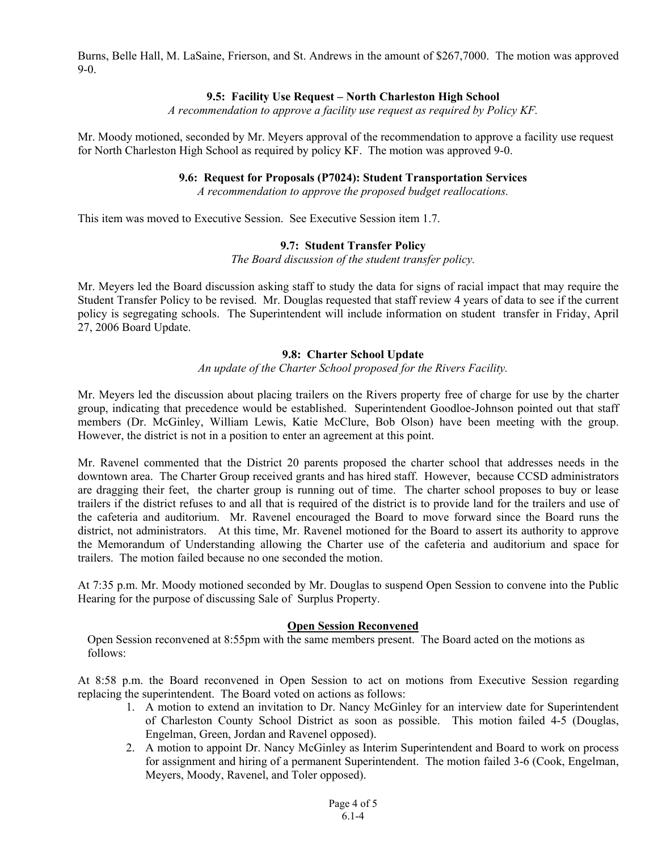Burns, Belle Hall, M. LaSaine, Frierson, and St. Andrews in the amount of \$267,7000. The motion was approved 9-0.

### **9.5: Facility Use Request – North Charleston High School**

*A recommendation to approve a facility use request as required by Policy KF.* 

Mr. Moody motioned, seconded by Mr. Meyers approval of the recommendation to approve a facility use request for North Charleston High School as required by policy KF. The motion was approved 9-0.

#### **9.6: Request for Proposals (P7024): Student Transportation Services**

*A recommendation to approve the proposed budget reallocations.* 

This item was moved to Executive Session. See Executive Session item 1.7.

### **9.7: Student Transfer Policy**

*The Board discussion of the student transfer policy.* 

Mr. Meyers led the Board discussion asking staff to study the data for signs of racial impact that may require the Student Transfer Policy to be revised. Mr. Douglas requested that staff review 4 years of data to see if the current policy is segregating schools. The Superintendent will include information on student transfer in Friday, April 27, 2006 Board Update.

### **9.8: Charter School Update**

*An update of the Charter School proposed for the Rivers Facility.* 

Mr. Meyers led the discussion about placing trailers on the Rivers property free of charge for use by the charter group, indicating that precedence would be established. Superintendent Goodloe-Johnson pointed out that staff members (Dr. McGinley, William Lewis, Katie McClure, Bob Olson) have been meeting with the group. However, the district is not in a position to enter an agreement at this point.

Mr. Ravenel commented that the District 20 parents proposed the charter school that addresses needs in the downtown area. The Charter Group received grants and has hired staff. However, because CCSD administrators are dragging their feet, the charter group is running out of time. The charter school proposes to buy or lease trailers if the district refuses to and all that is required of the district is to provide land for the trailers and use of the cafeteria and auditorium. Mr. Ravenel encouraged the Board to move forward since the Board runs the district, not administrators. At this time, Mr. Ravenel motioned for the Board to assert its authority to approve the Memorandum of Understanding allowing the Charter use of the cafeteria and auditorium and space for trailers. The motion failed because no one seconded the motion.

At 7:35 p.m. Mr. Moody motioned seconded by Mr. Douglas to suspend Open Session to convene into the Public Hearing for the purpose of discussing Sale of Surplus Property.

#### **Open Session Reconvened**

Open Session reconvened at 8:55pm with the same members present. The Board acted on the motions as follows:

At 8:58 p.m. the Board reconvened in Open Session to act on motions from Executive Session regarding replacing the superintendent. The Board voted on actions as follows:

- 1. A motion to extend an invitation to Dr. Nancy McGinley for an interview date for Superintendent of Charleston County School District as soon as possible. This motion failed 4-5 (Douglas, Engelman, Green, Jordan and Ravenel opposed).
- 2. A motion to appoint Dr. Nancy McGinley as Interim Superintendent and Board to work on process for assignment and hiring of a permanent Superintendent. The motion failed 3-6 (Cook, Engelman, Meyers, Moody, Ravenel, and Toler opposed).